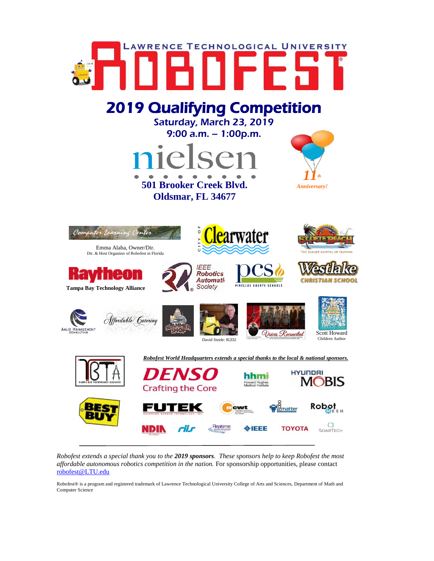

*Robofest extends a special thank you to the 2019 sponsors. These sponsors help to keep Robofest the most affordable autonomous robotics competition in the nation.* For sponsorship opportunities, please contact [robofest@LTU.edu](mailto:robofest@LTU.edu)

Robofest® is a program and registered trademark of Lawrence Technological University College of Arts and Sciences, Department of Math and Computer Science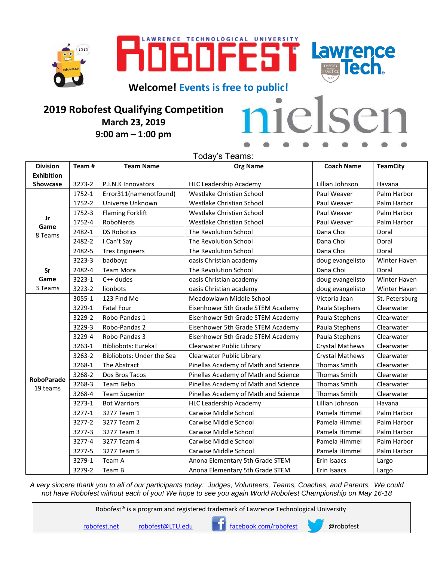





**Welcome! Events is free to public!**

## **2019 Robofest Qualifying Competition March 23, 2019 9:00 am – 1:00 pm**

| nielsen |  |  |  |  |
|---------|--|--|--|--|
| .       |  |  |  |  |

Today's Teams:

| <b>Division</b>       | Team#  | <b>Team Name</b>          | <b>Org Name</b>                      | <b>Coach Name</b>      | <b>TeamCity</b> |
|-----------------------|--------|---------------------------|--------------------------------------|------------------------|-----------------|
| <b>Exhibition</b>     |        |                           |                                      |                        |                 |
| Showcase              | 3273-2 | P.I.N.K Innovators        | <b>HLC Leadership Academy</b>        | Lillian Johnson        | Havana          |
| Jr<br>Game<br>8 Teams | 1752-1 | Error311(namenotfound)    | Westlake Christian School            | Paul Weaver            | Palm Harbor     |
|                       | 1752-2 | Universe Unknown          | Westlake Christian School            | Paul Weaver            | Palm Harbor     |
|                       | 1752-3 | <b>Flaming Forklift</b>   | Westlake Christian School            | Paul Weaver            | Palm Harbor     |
|                       | 1752-4 | RoboNerds                 | Westlake Christian School            | Paul Weaver            | Palm Harbor     |
|                       | 2482-1 | <b>DS Robotics</b>        | The Revolution School                | Dana Choi              | Doral           |
|                       | 2482-2 | I Can't Say               | The Revolution School                | Dana Choi              | Doral           |
|                       | 2482-5 | <b>Tres Engineers</b>     | The Revolution School                | Dana Choi              | Doral           |
|                       | 3223-3 | badboyz                   | oasis Christian academy              | doug evangelisto       | Winter Haven    |
| Sr                    | 2482-4 | <b>Team Mora</b>          | The Revolution School                | Dana Choi              | Doral           |
| Game                  | 3223-1 | C++ dudes                 | oasis Christian academy              | doug evangelisto       | Winter Haven    |
| 3 Teams               | 3223-2 | lionbots                  | oasis Christian academy              | doug evangelisto       | Winter Haven    |
|                       | 3055-1 | 123 Find Me               | Meadowlawn Middle School             | Victoria Jean          | St. Petersburg  |
|                       | 3229-1 | <b>Fatal Four</b>         | Eisenhower 5th Grade STEM Academy    | Paula Stephens         | Clearwater      |
|                       | 3229-2 | Robo-Pandas 1             | Eisenhower 5th Grade STEM Academy    | Paula Stephens         | Clearwater      |
|                       | 3229-3 | Robo-Pandas 2             | Eisenhower 5th Grade STEM Academy    | Paula Stephens         | Clearwater      |
|                       | 3229-4 | Robo-Pandas 3             | Eisenhower 5th Grade STEM Academy    | Paula Stephens         | Clearwater      |
|                       | 3263-1 | Bibliobots: Eureka!       | Clearwater Public Library            | <b>Crystal Mathews</b> | Clearwater      |
|                       | 3263-2 | Bibliobots: Under the Sea | Clearwater Public Library            | <b>Crystal Mathews</b> | Clearwater      |
|                       | 3268-1 | The Abstract              | Pinellas Academy of Math and Science | Thomas Smith           | Clearwater      |
| <b>RoboParade</b>     | 3268-2 | Dos Bros Tacos            | Pinellas Academy of Math and Science | <b>Thomas Smith</b>    | Clearwater      |
| 19 teams              | 3268-3 | Team Bebo                 | Pinellas Academy of Math and Science | Thomas Smith           | Clearwater      |
|                       | 3268-4 | <b>Team Superior</b>      | Pinellas Academy of Math and Science | <b>Thomas Smith</b>    | Clearwater      |
|                       | 3273-1 | <b>Bot Warriors</b>       | <b>HLC Leadership Academy</b>        | Lillian Johnson        | Havana          |
|                       | 3277-1 | 3277 Team 1               | Carwise Middle School                | Pamela Himmel          | Palm Harbor     |
|                       | 3277-2 | 3277 Team 2               | Carwise Middle School                | Pamela Himmel          | Palm Harbor     |
|                       | 3277-3 | 3277 Team 3               | Carwise Middle School                | Pamela Himmel          | Palm Harbor     |
|                       | 3277-4 | 3277 Team 4               | Carwise Middle School                | Pamela Himmel          | Palm Harbor     |
|                       | 3277-5 | 3277 Team 5               | Carwise Middle School                | Pamela Himmel          | Palm Harbor     |
|                       | 3279-1 | Team A                    | Anona Elementary 5th Grade STEM      | Erin Isaacs            | Largo           |
|                       | 3279-2 | Team B                    | Anona Elementary 5th Grade STEM      | Erin Isaacs            | Largo           |

*A very sincere thank you to all of our participants today: Judges, Volunteers, Teams, Coaches, and Parents. We could not have Robofest without each of you! We hope to see you again World Robofest Championship on May 16-18*

Robofest® is a program and registered trademark of Lawrence Technological University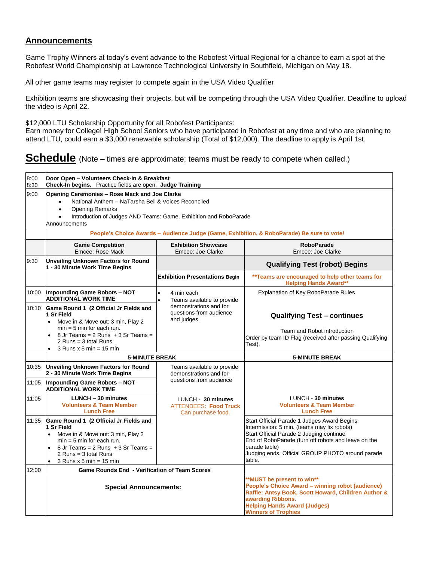## **Announcements**

Game Trophy Winners at today's event advance to the Robofest Virtual Regional for a chance to earn a spot at the Robofest World Championship at Lawrence Technological University in Southfield, Michigan on May 18.

All other game teams may register to compete again in the USA Video Qualifier

Exhibition teams are showcasing their projects, but will be competing through the USA Video Qualifier. Deadline to upload the video is April 22.

\$12,000 LTU Scholarship Opportunity for all Robofest Participants:

Earn money for College! High School Seniors who have participated in Robofest at any time and who are planning to attend LTU, could earn a \$3,000 renewable scholarship (Total of \$12,000). The deadline to apply is April 1st.

## **Schedule** (Note – times are approximate; teams must be ready to compete when called.)

| 8:00<br>8:30 | Door Open - Volunteers Check-In & Breakfast<br>Check-In begins. Practice fields are open. Judge Training                                                                                                                                                         |                                                                                                                                                                                                                                 |                                                                                                                                                                                                                                                                              |  |  |  |
|--------------|------------------------------------------------------------------------------------------------------------------------------------------------------------------------------------------------------------------------------------------------------------------|---------------------------------------------------------------------------------------------------------------------------------------------------------------------------------------------------------------------------------|------------------------------------------------------------------------------------------------------------------------------------------------------------------------------------------------------------------------------------------------------------------------------|--|--|--|
| 9:00         | <b>Opening Ceremonies - Rose Mack and Joe Clarke</b><br>National Anthem - NaTarsha Bell & Voices Reconciled<br><b>Opening Remarks</b><br>Introduction of Judges AND Teams: Game, Exhibition and RoboParade<br>$\bullet$<br>Announcements                         |                                                                                                                                                                                                                                 |                                                                                                                                                                                                                                                                              |  |  |  |
|              | People's Choice Awards - Audience Judge (Game, Exhibition, & RoboParade) Be sure to vote!                                                                                                                                                                        |                                                                                                                                                                                                                                 |                                                                                                                                                                                                                                                                              |  |  |  |
|              | <b>Game Competition</b><br>Emcee: Rose Mack                                                                                                                                                                                                                      | <b>Exhibition Showcase</b><br>Emcee: Joe Clarke                                                                                                                                                                                 | <b>RoboParade</b><br>Emcee: Joe Clarke                                                                                                                                                                                                                                       |  |  |  |
| 9:30         | <b>Unveiling Unknown Factors for Round</b><br>1 - 30 Minute Work Time Begins                                                                                                                                                                                     |                                                                                                                                                                                                                                 | <b>Qualifying Test (robot) Begins</b>                                                                                                                                                                                                                                        |  |  |  |
|              |                                                                                                                                                                                                                                                                  | <b>Exhibition Presentations Begin</b>                                                                                                                                                                                           | ** Teams are encouraged to help other teams for<br><b>Helping Hands Award**</b>                                                                                                                                                                                              |  |  |  |
| 10:00        | <b>Impounding Game Robots - NOT</b><br><b>ADDITIONAL WORK TIME</b>                                                                                                                                                                                               | 4 min each<br>Teams available to provide                                                                                                                                                                                        | Explanation of Key RoboParade Rules                                                                                                                                                                                                                                          |  |  |  |
| 10:10        | Game Round 1 (2 Official Jr Fields and<br>1 Sr Field<br>Move in & Move out: 3 min, Play 2<br>$\bullet$<br>$min = 5$ min for each run.<br>8 Jr Teams = $2$ Runs $+3$ Sr Teams =<br>2 Runs = $3$ total Runs<br>$3$ Runs x 5 min = 15 min<br>$\bullet$              | demonstrations and for<br>questions from audience<br>and judges                                                                                                                                                                 | <b>Qualifying Test - continues</b><br>Team and Robot introduction<br>Order by team ID Flag (received after passing Qualifying<br>Test).                                                                                                                                      |  |  |  |
|              | <b>5-MINUTE BREAK</b>                                                                                                                                                                                                                                            |                                                                                                                                                                                                                                 | <b>5-MINUTE BREAK</b>                                                                                                                                                                                                                                                        |  |  |  |
| 10:35        | <b>Unveiling Unknown Factors for Round</b><br>2 - 30 Minute Work Time Begins                                                                                                                                                                                     | Teams available to provide<br>demonstrations and for                                                                                                                                                                            |                                                                                                                                                                                                                                                                              |  |  |  |
| 11:05        | <b>Impounding Game Robots - NOT</b><br><b>ADDITIONAL WORK TIME</b>                                                                                                                                                                                               | questions from audience                                                                                                                                                                                                         |                                                                                                                                                                                                                                                                              |  |  |  |
| 11:05        | LUNCH - 30 minutes<br><b>Volunteers &amp; Team Member</b><br><b>Lunch Free</b>                                                                                                                                                                                   | LUNCH - 30 minutes<br><b>ATTENDEES: Food Truck</b><br>Can purchase food.                                                                                                                                                        | LUNCH - 30 minutes<br><b>Volunteers &amp; Team Member</b><br><b>Lunch Free</b>                                                                                                                                                                                               |  |  |  |
| 11:35        | Game Round 1 (2 Official Jr Fields and<br>1 Sr Field<br>Move in & Move out: 3 min, Play 2<br>$\bullet$<br>$min = 5 min$ for each run.<br>8 Jr Teams = $2$ Runs $+3$ Sr Teams =<br>$\bullet$<br>2 Runs = $3$ total Runs<br>$3$ Runs x 5 min = 15 min<br>$\bullet$ |                                                                                                                                                                                                                                 | Start Official Parade 1 Judges Award Begins<br>Intermission: 5 min. (teams may fix robots)<br>Start Official Parade 2 Judging continue<br>End of RoboParade (turn off robots and leave on the<br>parade table)<br>Judging ends. Official GROUP PHOTO around parade<br>table. |  |  |  |
| 12:00        | <b>Game Rounds End - Verification of Team Scores</b>                                                                                                                                                                                                             |                                                                                                                                                                                                                                 |                                                                                                                                                                                                                                                                              |  |  |  |
|              | <b>Special Announcements:</b>                                                                                                                                                                                                                                    | **MUST be present to win**<br>People's Choice Award - winning robot (audience)<br>Raffle: Antsy Book, Scott Howard, Children Author &<br>awarding Ribbons.<br><b>Helping Hands Award (Judges)</b><br><b>Winners of Trophies</b> |                                                                                                                                                                                                                                                                              |  |  |  |